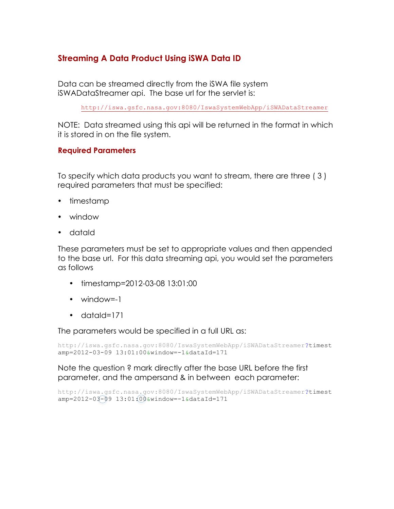# **Streaming A Data Product Using iSWA Data ID**

Data can be streamed directly from the iSWA file system iSWADataStreamer api. The base url for the servlet is:

http://iswa.gsfc.nasa.gov:8080/IswaSystemWebApp/iSWADataStreamer

NOTE: Data streamed using this api will be returned in the format in which it is stored in on the file system.

#### **Required Parameters**

To specify which data products you want to stream, there are three ( 3 ) required parameters that must be specified:

- timestamp
- window
- dataId

These parameters must be set to appropriate values and then appended to the base url. For this data streaming api, you would set the parameters as follows

- timestamp=2012-03-08 13:01:00
- window=-1
- dataId=171

The parameters would be specified in a full URL as:

```
http://iswa.gsfc.nasa.gov:8080/IswaSystemWebApp/iSWADataStreamer?timest
amp=2012-03-09 13:01:00&window=-1&dataId=171
```
Note the question ? mark directly after the base URL before the first parameter, and the ampersand & in between each parameter:

```
http://iswa.gsfc.nasa.gov:8080/IswaSystemWebApp/iSWADataStreamer?timest
amp=2012-03-09 13:01:00&window=-1&dataId=171
```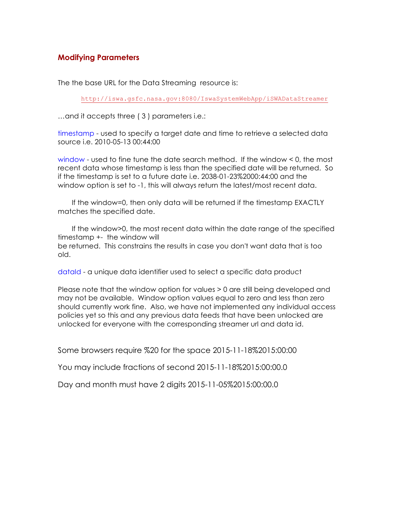# **Modifying Parameters**

The the base URL for the Data Streaming resource is:

http://iswa.gsfc.nasa.gov:8080/IswaSystemWebApp/iSWADataStreamer

…and it accepts three ( 3 ) parameters i.e.:

timestamp - used to specify a target date and time to retrieve a selected data source i.e. 2010-05-13 00:44:00

window - used to fine tune the date search method. If the window < 0, the most recent data whose timestamp is less than the specified date will be returned. So if the timestamp is set to a future date i.e. 2038-01-23%2000:44:00 and the window option is set to -1, this will always return the latest/most recent data.

If the window=0, then only data will be returned if the timestamp EXACTLY matches the specified date.

If the window>0, the most recent data within the date range of the specified timestamp +- the window will be returned. This constrains the results in case you don't want data that is too old.

dataId - a unique data identifier used to select a specific data product

Please note that the window option for values > 0 are still being developed and may not be available. Window option values equal to zero and less than zero should currently work fine. Also, we have not implemented any individual access policies yet so this and any previous data feeds that have been unlocked are unlocked for everyone with the corresponding streamer url and data id.

Some browsers require %20 for the space 2015-11-18%2015:00:00

You may include fractions of second 2015-11-18%2015:00:00.0

Day and month must have 2 digits 2015-11-05%2015:00:00.0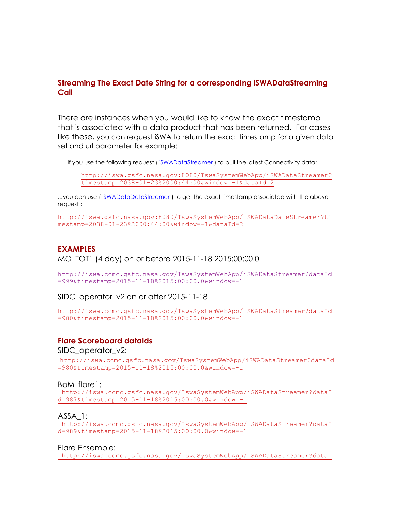# **Streaming The Exact Date String for a corresponding iSWADataStreaming Call**

There are instances when you would like to know the exact timestamp that is associated with a data product that has been returned. For cases like these, you can request iSWA to return the exact timestamp for a given data set and url parameter for example:

If you use the following request ( iSWADataStreamer ) to pull the latest Connectivity data:

http://iswa.gsfc.nasa.gov:8080/IswaSystemWebApp/iSWADataStreamer? timestamp=2038-01-23%2000:44:00&window=-1&dataId=2

...you can use ( iSWADataDateStreamer ) to get the exact timestamp associated with the above request :

http://iswa.gsfc.nasa.gov:8080/IswaSystemWebApp/iSWADataDateStreamer?ti mestamp=2038-01-23%2000:44:00&window=-1&dataId=2

## **EXAMPLES** MO\_TOT1 (4 day) on or before 2015-11-18 2015:00:00.0

http://iswa.ccmc.gsfc.nasa.gov/IswaSystemWebApp/iSWADataStreamer?dataId =999&timestamp=2015-11-18%2015:00:00.0&window=-1

SIDC\_operator\_v2 on or after 2015-11-18

http://iswa.ccmc.gsfc.nasa.gov/IswaSystemWebApp/iSWADataStreamer?dataId =980&timestamp=2015-11-18%2015:00:00.0&window=-1

#### **Flare Scoreboard dataIds**

SIDC\_operator\_v2:

http://iswa.ccmc.gsfc.nasa.gov/IswaSystemWebApp/iSWADataStreamer?dataId =980&timestamp=2015-11-18%2015:00:00.0&window=-1

BoM\_flare1:

http://iswa.ccmc.gsfc.nasa.gov/IswaSystemWebApp/iSWADataStreamer?dataI d=987&timestamp=2015-11-18%2015:00:00.0&window=-1

ASSA\_1:

http://iswa.ccmc.gsfc.nasa.gov/IswaSystemWebApp/iSWADataStreamer?dataI d=989&timestamp=2015-11-18%2015:00:00.0&window=-1

Flare Ensemble:

http://iswa.ccmc.gsfc.nasa.gov/IswaSystemWebApp/iSWADataStreamer?dataI